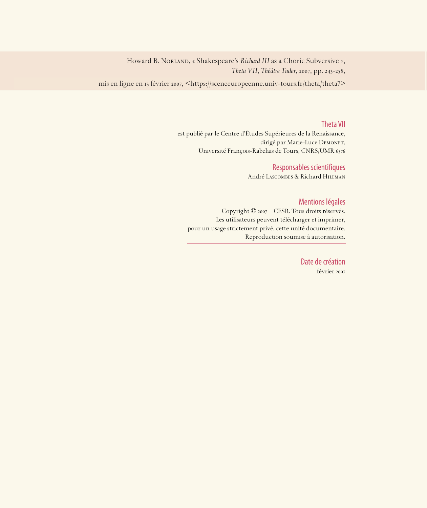Howard B. NorLAND, « Shakespeare's Richard III as a Choric Subversive », *Theta VII*, *Théâtre Tudor*, 2007, pp. 243-258,

mis en ligne en 13 février 2007, <https://sceneeuropeenne.univ-tours.fr/theta/theta7>

### Theta VII

est publié par le Centre d'Études Supérieures de la Renaissance, dirigé par Marie-Luce DEMONET, Université François-Rabelais de Tours, CNRS/UMR

### Responsables scientifiques

André Lascombes & Richard Hillman

### Mentions légales

Copyright © 2007 – CESR. Tous droits réservés. Les utilisateurs peuvent télécharger et imprimer, pour un usage strictement privé, cette unité documentaire. Reproduction soumise à autorisation.

> Date de création février 2007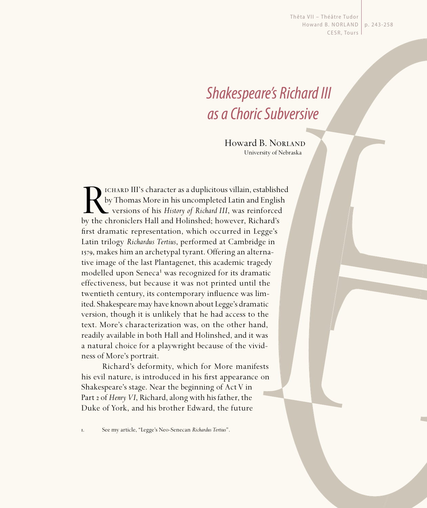Thêta VII - Théâtre Tudor Howard B. NORLAND | p. 243-258 CESR, Tours

# Shakespeare's Richard III as a Choric Subversive

Howard B. NORLAND University of Nebraska

ICHARD III's character as a duplicitous villain, established<br>by Thomas More in his uncompleted Latin and English<br>versions of his *History of Richard III*, was reinforced<br>by the chroniclers Hall and Holinshed; however, Rich by Thomas More in his uncompleted Latin and English versions of his *History of Richard III*, was reinforced by the chroniclers Hall and Holinshed; however, Richard's first dramatic representation, which occurred in Legge's Latin trilogy *Richardus Tertius*, performed at Cambridge in 1579, makes him an archetypal tyrant. Offering an alternative image of the last Plantagenet, this academic tragedy modelled upon Seneca<sup>1</sup> was recognized for its dramatic effectiveness, but because it was not printed until the twentieth century, its contemporary influence was limited. Shakespeare may have known about Legge's dramatic version, though it is unlikely that he had access to the text. More's characterization was, on the other hand, readily available in both Hall and Holinshed, and it was a natural choice for a playwright because of the vividness of More's portrait.

Richard's deformity, which for More manifests his evil nature, is introduced in his first appearance on Shakespeare's stage. Near the beginning of Act V in Part 2 of *Henry VI*, Richard, along with his father, the Duke of York, and his brother Edward, the future

. See my article, "Legge's Neo-Senecan *Richardus Tertius*".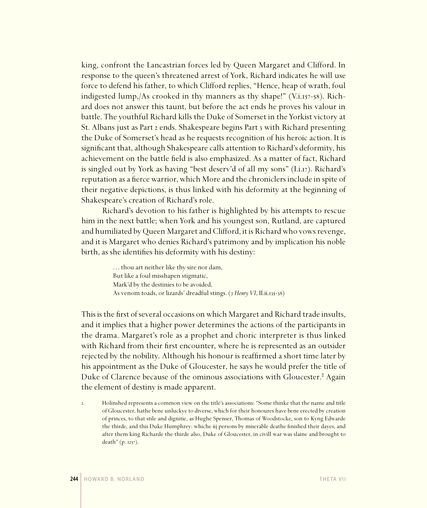king, confront the Lancastrian forces led by Queen Margaret and Clifford. In response to the queen's threatened arrest of York, Richard indicates he will use force to defend his father, to which Clifford replies, "Hence, heap of wrath, foul indigested lump,/As crooked in thy manners as thy shape!" (V.i.157-58). Richard does not answer this taunt, but before the act ends he proves his valour in battle. The youthful Richard kills the Duke of Somerset in the Yorkist victory at St. Albans just as Part 2 ends. Shakespeare begins Part 3 with Richard presenting the Duke of Somerset's head as he requests recognition of his heroic action. It is significant that, although Shakespeare calls attention to Richard's deformity, his achievement on the battle field is also emphasized. As a matter of fact, Richard is singled out by York as having "best deserv'd of all my sons" (I.i.17). Richard's reputation as a fierce warrior, which More and the chroniclers include in spite of their negative depictions, is thus linked with his deformity at the beginning of Shakespeare's creation of Richard's role.

Richard's devotion to his father is highlighted by his attempts to rescue him in the next battle; when York and his youngest son, Rutland, are captured and humiliated by Queen Margaret and Clifford, it is Richard who vows revenge, and it is Margaret who denies Richard's patrimony and by implication his noble birth, as she identifies his deformity with his destiny:

> ... thou art neither like thy sire nor dam, But like a foul misshapen stigmatic, Mark'd by the destinies to be avoided, As venom toads, or lizards' dreadful stings. (3 Henry VI, II.ii.135-38)

This is the first of several occasions on which Margaret and Richard trade insults, and it implies that a higher power determines the actions of the participants in the drama. Margaret's role as a prophet and choric interpreter is thus linked with Richard from their first encounter, where he is represented as an outsider rejected by the nobility. Although his honour is reaffirmed a short time later by his appointment as the Duke of Gloucester, he says he would prefer the title of Duke of Clarence because of the ominous associations with Gloucester.² Again the element of destiny is made apparent.

. Holinshed represents a common view on the title's associations: "Some thinke that the name and title of Gloucester, hathe bene unluckye to diverse, which for their honoures have bene erected by creation of princes, to that stile and dignitie, as Hughe Spenser, Thomas of Woodstocke, son to Kyng Edwarde the thirde, and this Duke Humphrey: whiche iij persons by miserable deathe finished their dayes, and after them king Richarde the thirde also, Duke of Gloucester, in civill war was slaine and brought to death" (p.  $1257$ ).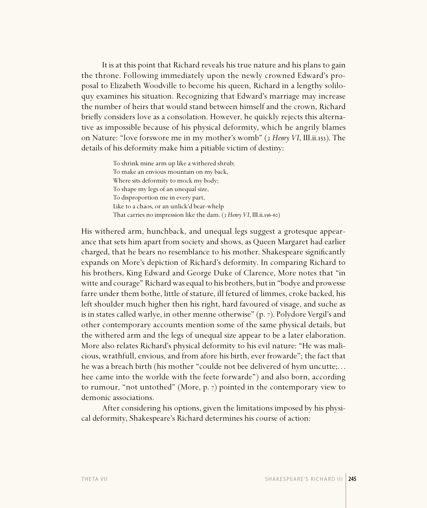It is at this point that Richard reveals his true nature and his plans to gain the throne. Following immediately upon the newly crowned Edward's proposal to Elizabeth Woodville to become his queen, Richard in a lengthy soliloquy examines his situation. Recognizing that Edward's marriage may increase the number of heirs that would stand between himself and the crown, Richard briefly considers love as a consolation. However, he quickly rejects this alternative as impossible because of his physical deformity, which he angrily blames on Nature: "love forswore me in my mother's womb" (*3 Henry VI*, III.ii.153). The details of his deformity make him a pitiable victim of destiny:

> To shrink mine arm up like a withered shrub; To make an envious mountain on my back, Where sits deformity to mock my body; To shape my legs of an unequal size, To disproportion me in every part, Like to a chaos, or an unlick'd bear-whelp That carries no impression like the dam. (3 Henry VI, III.ii.156-62)

His withered arm, hunchback, and unequal legs suggest a grotesque appearance that sets him apart from society and shows, as Queen Margaret had earlier charged, that he bears no resemblance to his mother. Shakespeare significantly expands on More's depiction of Richard's deformity. In comparing Richard to his brothers, King Edward and George Duke of Clarence, More notes that "in witte and courage" Richard was equal to his brothers, but in "bodye and prowesse farre under them bothe, little of stature, ill fetured of limmes, croke backed, his left shoulder much higher then his right, hard favoured of visage, and suche as is in states called warlye, in other menne otherwise"  $(p, 7)$ . Polydore Vergil's and other contemporary accounts mention some of the same physical details, but the withered arm and the legs of unequal size appear to be a later elaboration. More also relates Richard's physical deformity to his evil nature: "He was malicious, wrathfull, envious, and from afore his birth, ever frowarde"; the fact that he was a breach birth (his mother "coulde not bee delivered of hym uncutte;. . . hee came into the worlde with the feete forwarde") and also born, according to rumour, "not untothed" (More,  $p. 7$ ) pointed in the contemporary view to demonic associations.

After considering his options, given the limitations imposed by his physical deformity, Shakespeare's Richard determines his course of action: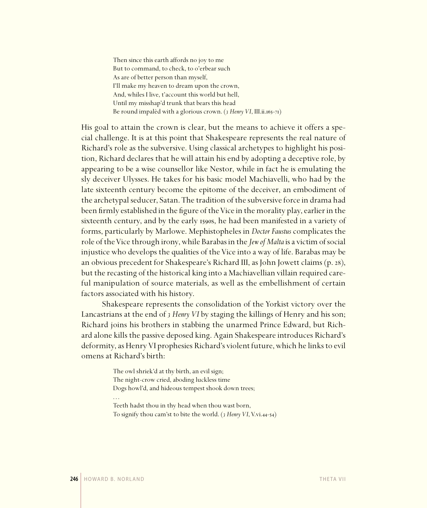Then since this earth affords no joy to me But to command, to check, to o'erbear such As are of better person than myself, I'll make my heaven to dream upon the crown, And, whiles I live, t'account this world but hell, Until my misshap'd trunk that bears this head Be round impalèd with a glorious crown. (3 Henry VI, III.ii.165-71)

His goal to attain the crown is clear, but the means to achieve it offers a special challenge. It is at this point that Shakespeare represents the real nature of Richard's role as the subversive. Using classical archetypes to highlight his position, Richard declares that he will attain his end by adopting a deceptive role, by appearing to be a wise counsellor like Nestor, while in fact he is emulating the sly deceiver Ulysses. He takes for his basic model Machiavelli, who had by the late sixteenth century become the epitome of the deceiver, an embodiment of the archetypal seducer, Satan. The tradition of the subversive force in drama had been firmly established in the figure of the Vice in the morality play, earlier in the sixteenth century, and by the early 1590s, he had been manifested in a variety of forms, particularly by Marlowe. Mephistopheles in *Doctor Faustus* complicates the role of the Vice through irony, while Barabas in the *Jew of Malta* is a victim of social injustice who develops the qualities of the Vice into a way of life. Barabas may be an obvious precedent for Shakespeare's Richard III, as John Jowett claims (p. 28), but the recasting of the historical king into a Machiavellian villain required careful manipulation of source materials, as well as the embellishment of certain factors associated with his history.

Shakespeare represents the consolidation of the Yorkist victory over the Lancastrians at the end of *3 Henry VI* by staging the killings of Henry and his son; Richard joins his brothers in stabbing the unarmed Prince Edward, but Richard alone kills the passive deposed king. Again Shakespeare introduces Richard's deformity, as Henry VI prophesies Richard's violent future, which he links to evil omens at Richard's birth:

> The owl shriek'd at thy birth, an evil sign; The night-crow cried, aboding luckless time Dogs howl'd, and hideous tempest shook down trees; . . . Teeth hadst thou in thy head when thou wast born,

To signify thou cam'st to bite the world. (*3 Henry VI*, V.vi.44-54)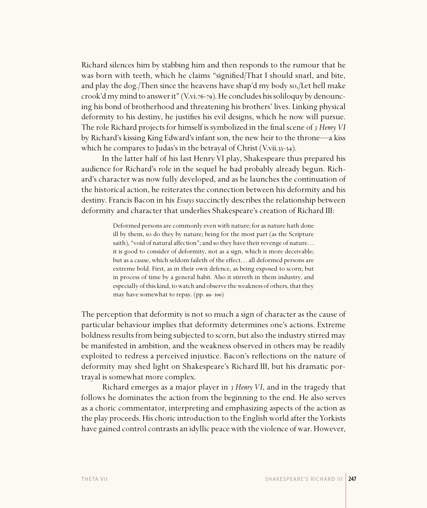Richard silences him by stabbing him and then responds to the rumour that he was born with teeth, which he claims "signified/That I should snarl, and bite, and play the dog./Then since the heavens have shap'd my body so,/Let hell make crook'd my mind to answer it" (V.vi.76-79). He concludes his soliloquy by denouncing his bond of brotherhood and threatening his brothers' lives. Linking physical deformity to his destiny, he justifies his evil designs, which he now will pursue. The role Richard projects for himself is symbolized in the final scene of 3 Henry VI by Richard's kissing King Edward's infant son, the new heir to the throne—a kiss which he compares to Judas's in the betrayal of Christ  $(V.\n$ vii.33-34).

In the latter half of his last Henry VI play, Shakespeare thus prepared his audience for Richard's role in the sequel he had probably already begun. Richard's character was now fully developed, and as he launches the continuation of the historical action, he reiterates the connection between his deformity and his destiny. Francis Bacon in his *Essays* succinctly describes the relationship between deformity and character that underlies Shakespeare's creation of Richard III:

> Deformed persons are commonly even with nature; for as nature hath done ill by them, so do they by nature; being for the most part (as the Scripture saith), "void of natural affection"; and so they have their revenge of nature. . . it is good to consider of deformity, not as a sign, which is more deceivable; but as a cause, which seldom faileth of the effect. . . all deformed persons are extreme bold. First, as in their own defence, as being exposed to scorn; but in process of time by a general habit. Also it stirreth in them industry, and especially of this kind, to watch and observe the weakness of others, that they may have somewhat to repay. (pp. 99-100)

The perception that deformity is not so much a sign of character as the cause of particular behaviour implies that deformity determines one's actions. Extreme boldness results from being subjected to scorn, but also the industry stirred may be manifested in ambition, and the weakness observed in others may be readily exploited to redress a perceived injustice. Bacon's reflections on the nature of deformity may shed light on Shakespeare's Richard III, but his dramatic portrayal is somewhat more complex.

Richard emerges as a major player in *3 Henry VI*, and in the tragedy that follows he dominates the action from the beginning to the end. He also serves as a choric commentator, interpreting and emphasizing aspects of the action as the play proceeds. His choric introduction to the English world after the Yorkists have gained control contrasts an idyllic peace with the violence of war. However,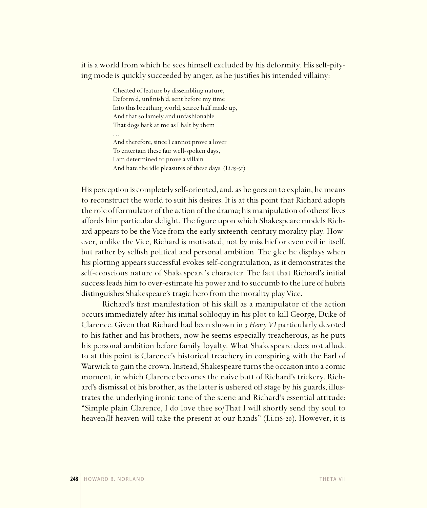it is a world from which he sees himself excluded by his deformity. His self-pitying mode is quickly succeeded by anger, as he justifies his intended villainy:

> Cheated of feature by dissembling nature, Deform'd, unfinish'd, sent before my time Into this breathing world, scarce half made up, And that so lamely and unfashionable That dogs bark at me as I halt by them— . . . And therefore, since I cannot prove a lover To entertain these fair well-spoken days,

I am determined to prove a villain

And hate the idle pleasures of these days.  $(I.i.T9-3I)$ 

His perception is completely self-oriented, and, as he goes on to explain, he means to reconstruct the world to suit his desires. It is at this point that Richard adopts the role of formulator of the action of the drama; his manipulation of others' lives affords him particular delight. The figure upon which Shakespeare models Richard appears to be the Vice from the early sixteenth-century morality play. However, unlike the Vice, Richard is motivated, not by mischief or even evil in itself, but rather by selfish political and personal ambition. The glee he displays when his plotting appears successful evokes self-congratulation, as it demonstrates the self-conscious nature of Shakespeare's character. The fact that Richard's initial success leads him to over-estimate his power and to succumb to the lure of hubris distinguishes Shakespeare's tragic hero from the morality play Vice.

Richard's first manifestation of his skill as a manipulator of the action occurs immediately after his initial soliloquy in his plot to kill George, Duke of Clarence. Given that Richard had been shown in *3 Henry VI* particularly devoted to his father and his brothers, now he seems especially treacherous, as he puts his personal ambition before family loyalty. What Shakespeare does not allude to at this point is Clarence's historical treachery in conspiring with the Earl of Warwick to gain the crown. Instead, Shakespeare turns the occasion into a comic moment, in which Clarence becomes the naive butt of Richard's trickery. Richard's dismissal of his brother, as the latter is ushered off stage by his guards, illustrates the underlying ironic tone of the scene and Richard's essential attitude: "Simple plain Clarence, I do love thee so/That I will shortly send thy soul to heaven/If heaven will take the present at our hands"  $(I.i.n8-20)$ . However, it is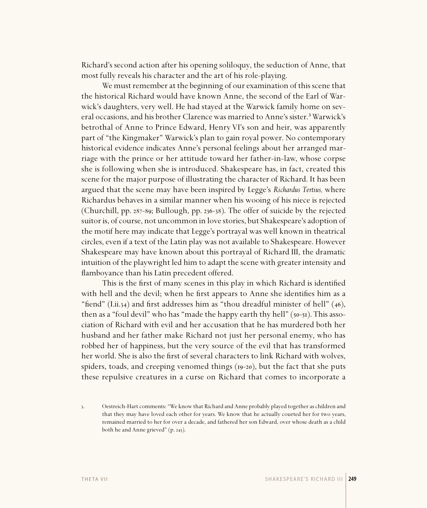Richard's second action after his opening soliloquy, the seduction of Anne, that most fully reveals his character and the art of his role-playing.

We must remember at the beginning of our examination of this scene that the historical Richard would have known Anne, the second of the Earl of Warwick's daughters, very well. He had stayed at the Warwick family home on several occasions, and his brother Clarence was married to Anne's sister.<sup>3</sup> Warwick's betrothal of Anne to Prince Edward, Henry VI's son and heir, was apparently part of "the Kingmaker" Warwick's plan to gain royal power. No contemporary historical evidence indicates Anne's personal feelings about her arranged marriage with the prince or her attitude toward her father-in-law, whose corpse she is following when she is introduced. Shakespeare has, in fact, created this scene for the major purpose of illustrating the character of Richard. It has been argued that the scene may have been inspired by Legge's *Richardus Tertius,* where Richardus behaves in a similar manner when his wooing of his niece is rejected (Churchill, pp.  $287-89$ ; Bullough, pp.  $236-38$ ). The offer of suicide by the rejected suitor is, of course, not uncommon in love stories, but Shakespeare's adoption of the motif here may indicate that Legge's portrayal was well known in theatrical circles, even if a text of the Latin play was not available to Shakespeare. However Shakespeare may have known about this portrayal of Richard III, the dramatic intuition of the playwright led him to adapt the scene with greater intensity and flamboyance than his Latin precedent offered.

This is the first of many scenes in this play in which Richard is identified with hell and the devil; when he first appears to Anne she identifies him as a "fiend" (I.ii.34) and first addresses him as "thou dreadful minister of hell"  $(46)$ , then as a "foul devil" who has "made the happy earth thy hell"  $(50-5I)$ . This association of Richard with evil and her accusation that he has murdered both her husband and her father make Richard not just her personal enemy, who has robbed her of happiness, but the very source of the evil that has transformed her world. She is also the first of several characters to link Richard with wolves, spiders, toads, and creeping venomed things  $(19-20)$ , but the fact that she puts these repulsive creatures in a curse on Richard that comes to incorporate a

<sup>.</sup> Oestreich-Hart comments: "We know that Richard and Anne probably played together as children and that they may have loved each other for years. We know that he actually courted her for two years, remained married to her for over a decade, and fathered her son Edward, over whose death as a child both he and Anne grieved"  $(p. 243)$ .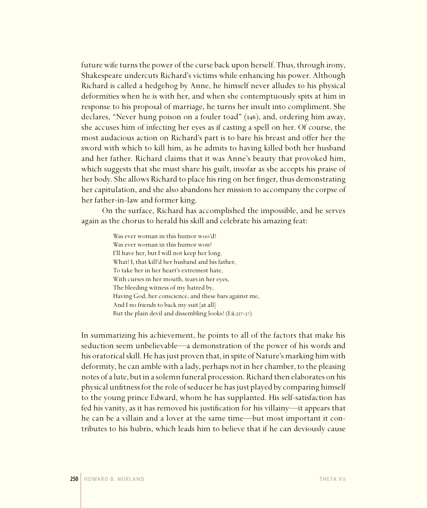future wife turns the power of the curse back upon herself. Thus, through irony, Shakespeare undercuts Richard's victims while enhancing his power. Although Richard is called a hedgehog by Anne, he himself never alludes to his physical deformities when he is with her, and when she contemptuously spits at him in response to his proposal of marriage, he turns her insult into compliment. She declares, "Never hung poison on a fouler toad"  $(146)$ , and, ordering him away, she accuses him of infecting her eyes as if casting a spell on her. Of course, the most audacious action on Richard's part is to bare his breast and offer her the sword with which to kill him, as he admits to having killed both her husband and her father. Richard claims that it was Anne's beauty that provoked him, which suggests that she must share his guilt, insofar as she accepts his praise of her body. She allows Richard to place his ring on her finger, thus demonstrating her capitulation, and she also abandons her mission to accompany the corpse of her father-in-law and former king.

On the surface, Richard has accomplished the impossible, and he serves again as the chorus to herald his skill and celebrate his amazing feat:

> Was ever woman in this humor woo'd? Was ever woman in this humor won? I'll have her, but I will not keep her long. What? I, that kill'd her husband and his father, To take her in her heart's extremest hate, With curses in her mouth, tears in her eyes, The bleeding witness of my hatred by, Having God, her conscience, and these bars against me, And I no friends to back my suit [at all] But the plain devil and dissembling looks?  $(I.ii.227-37)$

In summarizing his achievement, he points to all of the factors that make his seduction seem unbelievable—a demonstration of the power of his words and his oratorical skill. He has just proven that, in spite of Nature's marking him with deformity, he can amble with a lady, perhaps not in her chamber, to the pleasing notes of a lute, but in a solemn funeral procession. Richard then elaborates on his physical unfitness for the role of seducer he has just played by comparing himself to the young prince Edward, whom he has supplanted. His self-satisfaction has fed his vanity, as it has removed his justification for his villainy—it appears that he can be a villain and a lover at the same time—but most important it contributes to his hubris, which leads him to believe that if he can deviously cause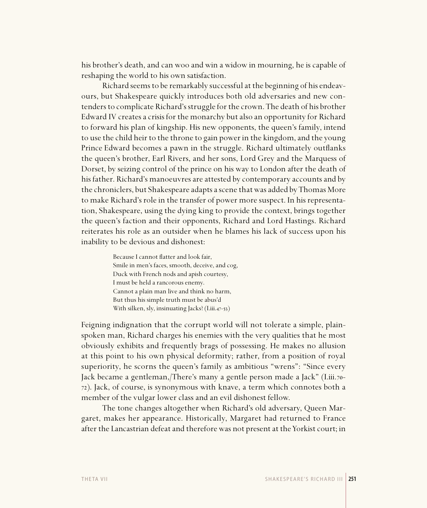his brother's death, and can woo and win a widow in mourning, he is capable of reshaping the world to his own satisfaction.

Richard seems to be remarkably successful at the beginning of his endeavours, but Shakespeare quickly introduces both old adversaries and new contenders to complicate Richard's struggle for the crown. The death of his brother Edward IV creates a crisis for the monarchy but also an opportunity for Richard to forward his plan of kingship. His new opponents, the queen's family, intend to use the child heir to the throne to gain power in the kingdom, and the young Prince Edward becomes a pawn in the struggle. Richard ultimately outflanks the queen's brother, Earl Rivers, and her sons, Lord Grey and the Marquess of Dorset, by seizing control of the prince on his way to London after the death of his father. Richard's manoeuvres are attested by contemporary accounts and by the chroniclers, but Shakespeare adapts a scene that was added by Thomas More to make Richard's role in the transfer of power more suspect. In his representation, Shakespeare, using the dying king to provide the context, brings together the queen's faction and their opponents, Richard and Lord Hastings. Richard reiterates his role as an outsider when he blames his lack of success upon his inability to be devious and dishonest:

> Because I cannot flatter and look fair, Smile in men's faces, smooth, deceive, and cog, Duck with French nods and apish courtesy, I must be held a rancorous enemy. Cannot a plain man live and think no harm, But thus his simple truth must be abus'd With silken, sly, insinuating Jacks?  $(I.iii.47-53)$

Feigning indignation that the corrupt world will not tolerate a simple, plainspoken man, Richard charges his enemies with the very qualities that he most obviously exhibits and frequently brags of possessing. He makes no allusion at this point to his own physical deformity; rather, from a position of royal superiority, he scorns the queen's family as ambitious "wrens": "Since every Jack became a gentleman,/There's many a gentle person made a Jack" (I.iii.- ). Jack, of course, is synonymous with knave, a term which connotes both a member of the vulgar lower class and an evil dishonest fellow.

The tone changes altogether when Richard's old adversary, Queen Margaret, makes her appearance. Historically, Margaret had returned to France after the Lancastrian defeat and therefore was not present at the Yorkist court; in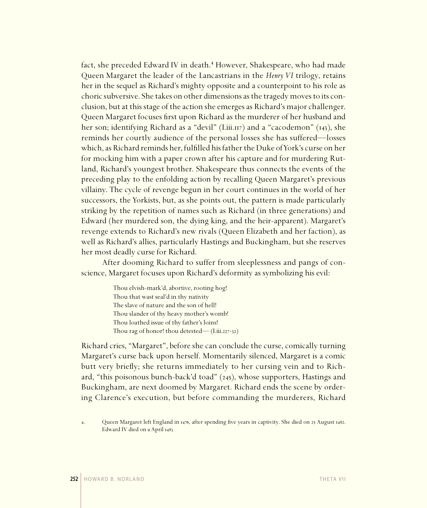fact, she preceded Edward IV in death.<sup>4</sup> However, Shakespeare, who had made Queen Margaret the leader of the Lancastrians in the *Henry VI* trilogy, retains her in the sequel as Richard's mighty opposite and a counterpoint to his role as choric subversive. She takes on other dimensions as the tragedy moves to its conclusion, but at this stage of the action she emerges as Richard's major challenger. Queen Margaret focuses first upon Richard as the murderer of her husband and her son; identifying Richard as a "devil" (Liii. $_{117}$ ) and a "cacodemon" ( $_{143}$ ), she reminds her courtly audience of the personal losses she has suffered—losses which, as Richard reminds her, fulfilled his father the Duke of York's curse on her for mocking him with a paper crown after his capture and for murdering Rutland, Richard's youngest brother. Shakespeare thus connects the events of the preceding play to the enfolding action by recalling Queen Margaret's previous villainy. The cycle of revenge begun in her court continues in the world of her successors, the Yorkists, but, as she points out, the pattern is made particularly striking by the repetition of names such as Richard (in three generations) and Edward (her murdered son, the dying king, and the heir-apparent). Margaret's revenge extends to Richard's new rivals (Queen Elizabeth and her faction), as well as Richard's allies, particularly Hastings and Buckingham, but she reserves her most deadly curse for Richard.

After dooming Richard to suffer from sleeplessness and pangs of conscience, Margaret focuses upon Richard's deformity as symbolizing his evil:

> Thou elvish-mark'd, abortive, rooting hog! Thou that wast seal'd in thy nativity The slave of nature and the son of hell! Thou slander of thy heavy mother's womb! Thou loathed issue of thy father's loins! Thou rag of honor! thou detested— $(I.iii.227-32)$

Richard cries, "Margaret", before she can conclude the curse, comically turning Margaret's curse back upon herself. Momentarily silenced, Margaret is a comic butt very briefly; she returns immediately to her cursing vein and to Richard, "this poisonous bunch-back'd toad"  $(245)$ , whose supporters, Hastings and Buckingham, are next doomed by Margaret. Richard ends the scene by ordering Clarence's execution, but before commanding the murderers, Richard

<sup>4.</sup> Queen Margaret left England in 1476, after spending five years in captivity. She died on 25 August 1482. Edward IV died on 9 April 1483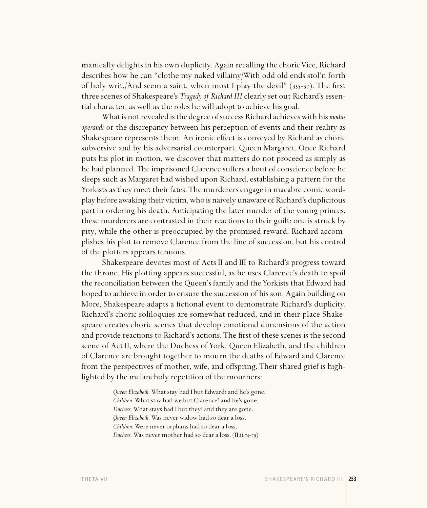manically delights in his own duplicity. Again recalling the choric Vice, Richard describes how he can "clothe my naked villainy/With odd old ends stol'n forth of holy writ,/And seem a saint, when most I play the devil"  $(335-37)$ . The first three scenes of Shakespeare's *Tragedy of Richard III* clearly set out Richard's essential character, as well as the roles he will adopt to achieve his goal.

What is not revealed is the degree of success Richard achieves with his *modus operandi* or the discrepancy between his perception of events and their reality as Shakespeare represents them. An ironic effect is conveyed by Richard as choric subversive and by his adversarial counterpart, Queen Margaret. Once Richard puts his plot in motion, we discover that matters do not proceed as simply as he had planned. The imprisoned Clarence suffers a bout of conscience before he sleeps such as Margaret had wished upon Richard, establishing a pattern for the Yorkists as they meet their fates. The murderers engage in macabre comic wordplay before awaking their victim, who is naively unaware of Richard's duplicitous part in ordering his death. Anticipating the later murder of the young princes, these murderers are contrasted in their reactions to their guilt: one is struck by pity, while the other is preoccupied by the promised reward. Richard accomplishes his plot to remove Clarence from the line of succession, but his control of the plotters appears tenuous.

Shakespeare devotes most of Acts II and III to Richard's progress toward the throne. His plotting appears successful, as he uses Clarence's death to spoil the reconciliation between the Queen's family and the Yorkists that Edward had hoped to achieve in order to ensure the succession of his son. Again building on More, Shakespeare adapts a fictional event to demonstrate Richard's duplicity. Richard's choric soliloquies are somewhat reduced, and in their place Shakespeare creates choric scenes that develop emotional dimensions of the action and provide reactions to Richard's actions. The first of these scenes is the second scene of Act II, where the Duchess of York, Queen Elizabeth, and the children of Clarence are brought together to mourn the deaths of Edward and Clarence from the perspectives of mother, wife, and offspring. Their shared grief is highlighted by the melancholy repetition of the mourners:

> *Queen Elizabeth.* What stay had I but Edward? and he's gone. *Children.* What stay had we but Clarence? and he's gone. *Duchess.* What stays had I but they? and they are gone. *Queen Elizabeth.* Was never widow had so dear a loss. *Children.* Were never orphans had so dear a loss. *Duchess.* Was never mother had so dear a loss. (II.ii.74-79)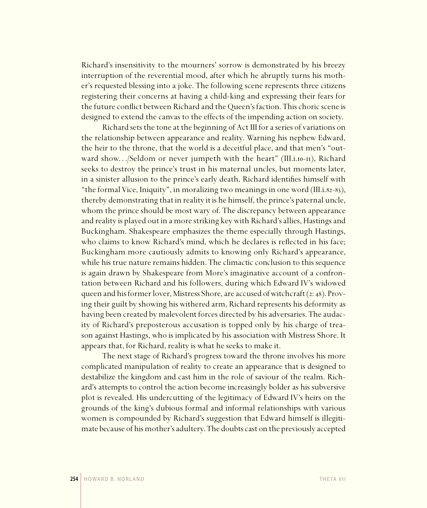Richard's insensitivity to the mourners' sorrow is demonstrated by his breezy interruption of the reverential mood, after which he abruptly turns his mother's requested blessing into a joke. The following scene represents three citizens registering their concerns at having a child-king and expressing their fears for the future conflict between Richard and the Queen's faction. This choric scene is designed to extend the canvas to the effects of the impending action on society.

Richard sets the tone at the beginning of Act III for a series of variations on the relationship between appearance and reality. Warning his nephew Edward, the heir to the throne, that the world is a deceitful place, and that men's "outward show.../Seldom or never jumpeth with the heart" (III.i.10-11), Richard seeks to destroy the prince's trust in his maternal uncles, but moments later, in a sinister allusion to the prince's early death, Richard identifies himself with "the formal Vice, Iniquity", in moralizing two meanings in one word (III.i.82-83), thereby demonstrating that in reality it is he himself, the prince's paternal uncle, whom the prince should be most wary of. The discrepancy between appearance and reality is played out in a more striking key with Richard's allies, Hastings and Buckingham. Shakespeare emphasizes the theme especially through Hastings, who claims to know Richard's mind, which he declares is reflected in his face; Buckingham more cautiously admits to knowing only Richard's appearance, while his true nature remains hidden. The climactic conclusion to this sequence is again drawn by Shakespeare from More's imaginative account of a confrontation between Richard and his followers, during which Edward IV's widowed queen and his former lover, Mistress Shore, are accused of witchcraft (2: 48). Proving their guilt by showing his withered arm, Richard represents his deformity as having been created by malevolent forces directed by his adversaries. The audacity of Richard's preposterous accusation is topped only by his charge of treason against Hastings, who is implicated by his association with Mistress Shore. It appears that, for Richard, reality is what he seeks to make it.

The next stage of Richard's progress toward the throne involves his more complicated manipulation of reality to create an appearance that is designed to destabilize the kingdom and cast him in the role of saviour of the realm. Richard's attempts to control the action become increasingly bolder as his subversive plot is revealed. His undercutting of the legitimacy of Edward IV's heirs on the grounds of the king's dubious formal and informal relationships with various women is compounded by Richard's suggestion that Edward himself is illegitimate because of his mother's adultery. The doubts cast on the previously accepted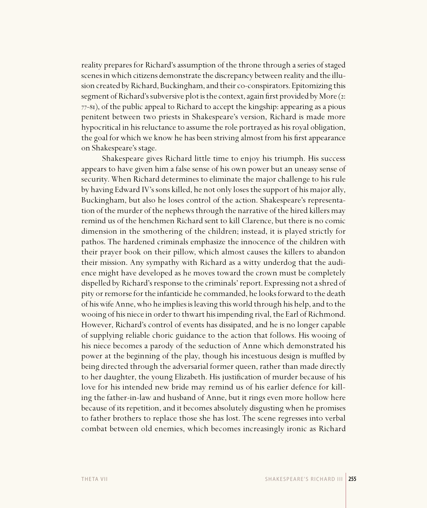reality prepares for Richard's assumption of the throne through a series of staged scenes in which citizens demonstrate the discrepancy between reality and the illusion created by Richard, Buckingham, and their co-conspirators. Epitomizing this segment of Richard's subversive plot is the context, again first provided by More  $(z)$ : 77-81), of the public appeal to Richard to accept the kingship: appearing as a pious penitent between two priests in Shakespeare's version, Richard is made more hypocritical in his reluctance to assume the role portrayed as his royal obligation, the goal for which we know he has been striving almost from his first appearance on Shakespeare's stage.

Shakespeare gives Richard little time to enjoy his triumph. His success appears to have given him a false sense of his own power but an uneasy sense of security. When Richard determines to eliminate the major challenge to his rule by having Edward IV's sons killed, he not only loses the support of his major ally, Buckingham, but also he loses control of the action. Shakespeare's representation of the murder of the nephews through the narrative of the hired killers may remind us of the henchmen Richard sent to kill Clarence, but there is no comic dimension in the smothering of the children; instead, it is played strictly for pathos. The hardened criminals emphasize the innocence of the children with their prayer book on their pillow, which almost causes the killers to abandon their mission. Any sympathy with Richard as a witty underdog that the audience might have developed as he moves toward the crown must be completely dispelled by Richard's response to the criminals' report. Expressing not a shred of pity or remorse for the infanticide he commanded, he looks forward to the death of his wife Anne, who he implies is leaving this world through his help, and to the wooing of his niece in order to thwart his impending rival, the Earl of Richmond. However, Richard's control of events has dissipated, and he is no longer capable of supplying reliable choric guidance to the action that follows. His wooing of his niece becomes a parody of the seduction of Anne which demonstrated his power at the beginning of the play, though his incestuous design is muffled by being directed through the adversarial former queen, rather than made directly to her daughter, the young Elizabeth. His justification of murder because of his love for his intended new bride may remind us of his earlier defence for killing the father-in-law and husband of Anne, but it rings even more hollow here because of its repetition, and it becomes absolutely disgusting when he promises to father brothers to replace those she has lost. The scene regresses into verbal combat between old enemies, which becomes increasingly ironic as Richard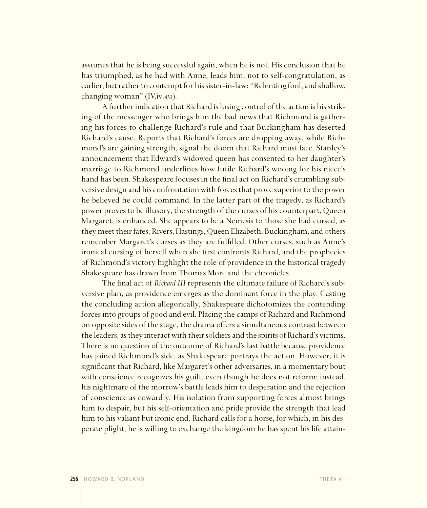assumes that he is being successful again, when he is not. His conclusion that he has triumphed, as he had with Anne, leads him, not to self-congratulation, as earlier, but rather to contempt for his sister-in-law: "Relenting fool, and shallow, changing woman" (IV.iv.431).

A further indication that Richard is losing control of the action is his striking of the messenger who brings him the bad news that Richmond is gathering his forces to challenge Richard's rule and that Buckingham has deserted Richard's cause. Reports that Richard's forces are dropping away, while Richmond's are gaining strength, signal the doom that Richard must face. Stanley's announcement that Edward's widowed queen has consented to her daughter's marriage to Richmond underlines how futile Richard's wooing for his niece's hand has been. Shakespeare focuses in the final act on Richard's crumbling subversive design and his confrontation with forces that prove superior to the power he believed he could command. In the latter part of the tragedy, as Richard's power proves to be illusory, the strength of the curses of his counterpart, Queen Margaret, is enhanced. She appears to be a Nemesis to those she had cursed, as they meet their fates; Rivers, Hastings, Queen Elizabeth, Buckingham, and others remember Margaret's curses as they are fulfilled. Other curses, such as Anne's ironical cursing of herself when she first confronts Richard, and the prophecies of Richmond's victory highlight the role of providence in the historical tragedy Shakespeare has drawn from Thomas More and the chronicles.

The final act of *Richard III* represents the ultimate failure of Richard's subversive plan, as providence emerges as the dominant force in the play. Casting the concluding action allegorically, Shakespeare dichotomizes the contending forces into groups of good and evil. Placing the camps of Richard and Richmond on opposite sides of the stage, the drama offers a simultaneous contrast between the leaders, as they interact with their soldiers and the spirits of Richard's victims. There is no question of the outcome of Richard's last battle because providence has joined Richmond's side, as Shakespeare portrays the action. However, it is significant that Richard, like Margaret's other adversaries, in a momentary bout with conscience recognizes his guilt, even though he does not reform; instead, his nightmare of the morrow's battle leads him to desperation and the rejection of conscience as cowardly. His isolation from supporting forces almost brings him to despair, but his self-orientation and pride provide the strength that lead him to his valiant but ironic end. Richard calls for a horse, for which, in his desperate plight, he is willing to exchange the kingdom he has spent his life attain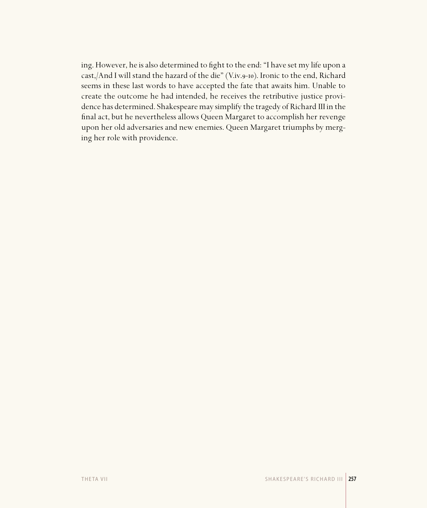ing. However, he is also determined to fight to the end: "I have set my life upon a cast,/And I will stand the hazard of the die" (V.iv.9-10). Ironic to the end, Richard seems in these last words to have accepted the fate that awaits him. Unable to create the outcome he had intended, he receives the retributive justice providence has determined. Shakespeare may simplify the tragedy of Richard III in the final act, but he nevertheless allows Queen Margaret to accomplish her revenge upon her old adversaries and new enemies. Queen Margaret triumphs by merging her role with providence.